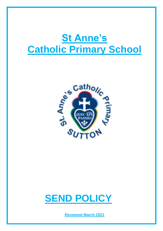# **St Anne's Catholic Primary School**





**Reviewed March 2021**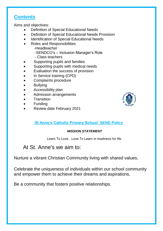# **Contents**

Aims and objectives:

- Definition of Special Educational Needs
- Definition of Special Educational Needs Provision
- Identification of Special Educational Needs
- Roles and Responsibilities
	- -Headteacher
	- -SENDCO's Inclusion Manager's Role
	- Class teachers
- Supporting pupils and families
- Supporting pupils with medical needs
- Evaluation the success of provision
- In Service training (CPD)
- Complaints procedure
- Bullying
- Accessibility plan
- Admission arrangements
- **Transition**
- Funding
- Review date February 2021



# **St Anne's Catholic Primary School SEND Policy**

# *MISSION STATEMENT*

Learn To Love…Love To Learn in readiness for life.

# At St. Anne's we aim to:

Nurture a vibrant Christian Community living with shared values,

Celebrate the uniqueness of individuals within our school community and empower them to achieve their dreams and aspirations,

Be a community that fosters positive relationships.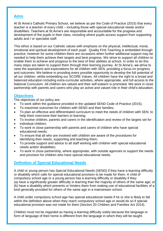#### **Aims**

At St Anne's Catholic Primary School, we believe as per the Code of Practice (2015) that every teacher is a teacher of every child – including those with special educational needs and/or disabilities. Teachers at St.Anne's are responsible and accountable for the progress and development of the pupils in their class, including where pupils access support from supporting adults and / or specialist staff.

This ethos is based on our Catholic values with emphasis on the physical, intellectual, moral, emotional and spiritual development of each pupil. Quality First Teaching is embedded through practice; however for some children there are occasions when further additional support may be needed to help them achieve their targets and best progress. We strive to support all children to enable them to achieve and progress to the best of their abilities at school. In order to do this many steps are taken to support them through their learning journey. At St Anne's, we strive to raise the aspirations and expectations for all children with SEN, providing a focus on progress and outcomes. We believe in providing every possible opportunity to develop the full potential of all our children, whilst embedding our SCORE Values. All children have the right to a broad and balanced education including extra-curricular activities, where appropriate, and full access to the National Curriculum. All children are valued and their self-esteem is promoted. We work in close partnership with parents and carers who play an active and valued role in their child's education.

#### **Objectives**

The objectives of our policy are:

- To work within the guidance provided in the updated SEND Code of Practice (2015);
- To maximise outcomes for children with SEND and their families;
- To plan an effective and differentiated curriculum to meet the needs of children with SEN, to help them overcome their barriers to learning;
- To involve children, parents and carers in the identification and review of the targets set for
- individual children;
- To work in close partnership with parents and carers of children who have special educational needs;
- To ensure that all who are involved with children are aware of the procedures for identifying their needs, supporting and teaching them;
- To provide support and advice to all staff working with children with special educational needs and/or disabilities;
- To work in close partnership, where appropriate, with outside agencies to support the needs and provision for children who have special educational needs.

# **Definition of Special Educational Needs**

A child or young person has Special Educational Needs (SEND) if they have a learning difficulty or disability which calls for special educational provision to be made for them. A child of compulsory school age or a young person has a learning difficulty or disability if they: (a) have a significantly greater difficulty in learning than the majority of others of the same age; or (b) have a disability which prevents or hinders them from making use of educational facilities of a kind generally provided for others of the same age in a mainstream school.

A child under compulsory school age has special educational needs if he or she is likely to fall within the definition above when they reach compulsory school age or would do so if special educational provision was not made for them (Section 20 Children and Families Act 2014).

Children must not be regarded as having a learning difficulty solely because the language or form of language of their home is different from the language in which they will be taught.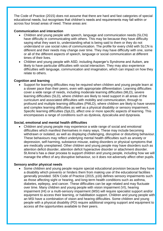The Code of Practice (2015) does not assume that there are hard and fast categories of special educational needs, but recognises that children's needs and requirements may fall within or across four broad areas of need. These areas are:

#### **Communication and interaction**

- Children and young people with speech, language and communication needs (SLCN) have difficulty in communicating with others. This may be because they have difficulty saying what they want to, understanding what is being said to them or they do not understand or use social rules of communication. The profile for every child with SLCN is different and their needs may change over time. They may have difficulty with one, some or all of the different aspects of speech, language or social communication at different times of their lives.
- Children and young people with ASD, including Asperger's Syndrome and Autism, are likely to have particular difficulties with social interaction. They may also experience difficulties with language, communication and imagination, which can impact on how they relate to others.

#### **Cognition and learning**

 Support for learning difficulties may be required when children and young people learn at a slower pace than their peers, even with appropriate differentiation. Learning difficulties cover a wide range of needs, including moderate learning difficulties (MLD), severe learning difficulties (SLD), where children are likely to need support in all areas of the curriculum and associated difficulties with mobility and communication, through to profound and multiple learning difficulties (PMLD), where children are likely to have severe and complex learning difficulties as well as a physical disability or sensory impairment. Specific learning difficulties (SpLD), affect one or more specific aspects of learning. This encompasses a range of conditions such as dyslexia, dyscalculia and dyspraxia.

#### **Social, emotional and mental health difficulties**

 Children and young people may experience a wide range of social and emotional difficulties which manifest themselves in many ways. These may include becoming withdrawn or isolated, as well as displaying challenging, disruptive or disturbing behaviour. These behaviours may reflect underlying mental health difficulties such as anxiety or depression, self-harming, substance misuse, eating disorders or physical symptoms that are medically unexplained. Other children and young people may have disorders such as attention deficit disorder, attention deficit hyperactive disorder or attachment disorder. St.Anne's has a clear process to support children and young people, including how we will manage the effect of any disruptive behaviour, so it does not adversely affect other pupils.

#### **Sensory and/or physical needs**

 Some children and young people require special educational provision because they have a disability which prevents or hinders them from making use of the educational facilities generally provided. SEN Code of Practice (2015, p16) defines sensory impairments such as those affecting sight or hearing, and long-term health conditions such as asthma, diabetes, epilepsy, and cancer. These difficulties can be age related and may fluctuate over time. Many children and young people with vision impairment (VI), hearing impairment (HI) or a multi-sensory impairment (MSI) will require specialist support and/or equipment to access their learning, or habilitation support. Children and young people with an MSI have a combination of vision and hearing difficulties. Some children and young people with a physical disability (PD) require additional ongoing support and equipment to access all the opportunities available to their peers.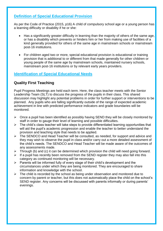# **Definition of Special Educational Provision**

As per the Code of Practice (2015, p16) A child of compulsory school age or a young person has a learning difficulty or disability if he or she:

- Has a significantly greater difficulty in learning than the majority of others of the same age, or has a disability which prevents or hinders him or her from making use of facilities of a kind generally provided for others of the same age in mainstream schools or mainstream post-16 institutions.
- For children aged two or more, special educational provision is educational or training provision that is additional to or different from that made generally for other children or young people of the same age by mainstream schools, maintained nursery schools, mainstream post-16 institutions or by relevant early years providers.

# **Identification of Special Educational Needs**

# **Quality First Teaching**

Pupil Progress Meetings are held each term. Here, the class teacher meets with the Senior Leadership Team (SLT) to discuss the progress of the pupils in their class. This shared discussion may highlight any potential problems in order for further support or interventions to be planned. Any pupils who are falling significantly outside of the range of expected academic achievement in line with predicted performance indicators and grade boundaries will be monitored.

- $\triangleright$  Once a pupil has been identified as possibly having SEND they will be closely monitored by staff in order to gauge their level of learning and possible difficulties.
- $\triangleright$  The child's class teacher will take steps to provide differentiated learning opportunities that will aid the pupil's academic progression and enable the teacher to better understand the provision and teaching style that needs to be applied.
- $\triangleright$  The SENDCO and Head Teacher will be consulted, as needed, for support and advice and they may wish to observe the pupil in class and/or carry out a more detailed assessment of the child's needs. The SENDCO and Head Teacher will be made aware of the outcomes of any assessments made.
- $\triangleright$  Through (b) and (c) it can be determined which provision the child will need going forward.
- $\triangleright$  If a pupil has recently been removed from the SEND register they may also fall into this category as continued monitoring will be necessary.
- $\triangleright$  Parents will be informed fully of every stage of their child's development and the circumstances under which they are being monitored. They are encouraged to share information and knowledge with the school.
- $\triangleright$  The child is recorded by the school as being under observation and monitored due to concern by parent or teacher, but this does not automatically place the child on the school's SEND register. Any concerns will be discussed with parents informally or during parents' evenings.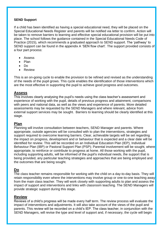#### **SEND Support**

If a child has been identified as having a special educational need, they will be placed on the Special Educational Needs Register and parents will be notified via letter to confirm. Action will be taken to remove barriers to learning and effective special educational provision will be put into place. The school follows the guidance contained in the Special Educational Needs Code of Practice (2015), which recommends a graduated approach to SEND support. The 'pathway' to SEND support can be found in the appendix A 'SEN flow chart'. The support provided consists of a four part process:

- Assess
- Plan
- Do
- Review

This is an on-going cycle to enable the provision to be refined and revised as the understanding of the needs of the pupil grows. This cycle enables the identification of those interventions which are the most effective in supporting the pupil to achieve good progress and outcomes.

#### **Assess**

This involves clearly analysing the pupil's needs using the class teacher's assessment and experience of working with the pupil, details of previous progress and attainment, comparisons with peers and national data, as well as the views and experience of parents. More detailed assessments may be requested by the SEND Managers and where relevant, advice from external support services may be sought. Barriers to learning should be clearly identified at this stage.

# **Plan**

Planning will involve consultation between teachers, SEND Manager and parents. Where appropriate, outside agencies will be consulted with to plan the interventions, strategies and support required to overcome learning barriers. Clear, achievable targets will be set regarding the impact on progress, development and or behaviour that is expected and a clear date will be identified for review. This will be recorded on an Individual Education Plan (IEP), Individual Behaviour Plan (IBP) or Pastoral Support Plan (PSP); Parental involvement will be sought, where appropriate, to reinforce or contribute to progress at home. All those working with the pupil, including supporting adults, will be informed of the pupil's individual needs, the support that is being provided, any particular teaching strategies and approaches that are being employed and the outcomes that are being sought.

# **Do**

The class teacher remains responsible for working with the child on a day-to-day basis. They will retain responsibility even where the interventions may involve group or one-to-one teaching away from the main class teacher. They will work closely with supporting adults to plan and assess the impact of support and interventions and links with classroom teaching. The SEND Managers will provide strategic support during this stage.

#### **Review**

Reviews of a child's progress will be made every half term. The review process will evaluate the impact of interventions and adjustments. It will also take account of the views of the pupil and parents. This review will be recorded on a child's IEP. The class teacher, in conjunction with the SEND Managers, will revise the type and level of support and, if necessary, the cycle will begin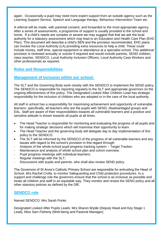again. Occasionally a pupil may need more expert support from an outside agency such as the Learning Support Service, Speech and Language therapy, Behaviour Intervention Team etc.

A referral will be made, with parental consent, and forwarded to the most appropriate agency. After a series of assessments, a programme of support is usually provided to the school and home. If a child's needs are complex or severe we may suggest that that we ask the local authority for a statutory assessment which may lead to an Education and Health Care Plan (EHC Plan). This document will describe a child's SEN and the provision recommended. EHC plans can involve the Local Authority (LA) providing extra resources to help a child. These could include money, staff time, special equipment or attendance at a specialist school. This additional provision is reviewed annually or sooner if required and would include parents, SEND children, class teacher, SENDCO, Local Authority Inclusion Officers, Local Authority Case Workers and other professionals as required.

# **Roles and Responsibilities**

## **Management of Inclusion within our school:**

The SLT and the Governing Body work closely with the SENDCO to implement the SEND policy. The SENDCO is responsible for reporting regularly to the SLT and appropriate governors on the ongoing effectiveness of this policy. The Designated Looked After Children Lead has strategic responsibility for the inclusion of children who are adopted or in the care of the local authority.

All staff in school has a responsibility for maximising achievement and opportunity of vulnerable learners- specifically, all teachers who are the pupils with SEND, disadvantaged groups and EAL. Staff are aware of their responsibilities towards all vulnerable learners and a positive and sensitive attitude is shown towards all pupils at all times.

- The Head Teacher is responsible for monitoring and evaluating the progress of all pupils and for making strategic decisions which will maximise their opportunity to learn.
- The Head Teacher and the governing body will delegate day to day implementation of this policy to the SENDCO.
- The SLT will be informed by the SENDCO of the progress of all vulnerable learners and any issues with regard to the school's provision in this regard through:
- Analysis of the whole-school pupil progress tracking system Target Tracker;
- Maintenance and analysis of whole school plan and cohort overview;
- Pupil progress meetings with individual teachers;
- Regular meetings with the SLT:
- Discussions with pupils and parents- who shall also review SEND policy.

The Governors of St Anne's Catholic Primary School are responsible for entrusting the Head of School, Mrs.Rachel Crolla, to monitor Safeguarding and Child protection procedures. In a support and challenge role the governors ensure that the school is as inclusive as possible and treats all children and staff in an equitable way. They monitor and review the SEND policy and all other statutory policies as defined by the DfE.

#### **SENDCO role**

Named SENDCO: Mrs Sarah Porter.

Designated Looked After Pupils Leads: Mrs.Sharon Wylde (Deputy Head and Key Stage 1 Lead), Miss Sam Flaherty (Well-being and Pastoral Manager).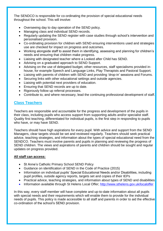The SENDCO is responsible for co-ordinating the provision of special educational needs throughout the school. This will involve:

- Overseeing day to day operation of the SEND policy.
- Managing class and individual SEND records.
- Regularly updating the SEND register with case studies through school's intervention and personalised provision.
- Co-ordinating provision for children with SEND ensuring interventions used and strategies use are checked for impact on progress and outcomes.
- Working alongside staff to assist them in identifying, assessing and planning for children's needs and ensuring that children make progress.
- Liaising with designated teacher where a Looked after Child has SEND.
- Advising on a graduated approach to SEND Support.
- Advising on the use of delegated budget, other resources, staff specialisms provided inhouse, for example Speech and Language Links, Play Therapists and Pastoral Support.
- Liaising with parents of children with SEND and providing 'drop-in' sessions and Forums.
- Securing links with other educational settings and outside agencies.
- Liaising with potential next providers of education.
- Ensuring that SEND records are up to date.
- Rigorously follow up referral processes.
- Contribute to, and where necessary, lead the continuing professional development of staff.

# **Class Teachers**

Teachers are responsible and accountable for the progress and development of the pupils in their class, including pupils who access support from supporting adults and/or specialist staff. Quality first teaching, differentiated for individual pupils, is the first step in responding to pupils who have, or may have SEND.

Teachers should have high aspirations for every pupil. With advice and support from the SEND Managers, clear targets should be set and reviewed regularly. Teachers should seek practical advice, teaching strategies, and information about the types of special educational need from the SENDCO. Teachers must involve parents and pupils in planning and reviewing the progress of SEND children. The views and aspirations of parents and children should be sought and regular updates on progress provided.

#### **All staff can access:**

- St Anne's Catholic Primary School SEND Policy
- Guidance on identification of SEND in the Code of Practice (2015)
- Information on individual pupils' Special Educational Needs and/or Disabilities, including pupil profiles, outside agency reports, targets set and copies of their IEPs
- Practical advice, teaching strategies, and information about types of SEND and disabilities
- Information available through St Helens Local Offer;<http://www.sthelens.gov.uk/localoffer>

In this way, every staff member will have complete and up-to-date information about all pupils with special needs and their requirements which will enable them to provide for the individual needs of pupils. This policy is made accessible to all staff and parents in order to aid the effective co-ordination of the school's SEND provision.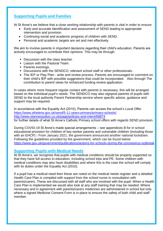# **Supporting Pupils and Families**

At St Anne's we believe that a close working relationship with parents is vital in order to ensure:

- Early and accurate identification and assessment of SEND leading to appropriate intervention and provision.
- Continuing social and academic progress of children with SEND.
- Personal and academic targets are set and met effectively.

We aim to involve parents in important decisions regarding their child's education. Parents are actively encouraged to contribute their opinions. This may be through:

- Discussion with the class teacher.
- $\blacksquare$  Liaison with the Pastoral Team.
- Parents evenings.
- Discussions with the SENDCO, relevant school staff or other professionals.
- The IEP or Play Plan write and review process. Parents are encouraged to comment on their child's IEP with possible suggestions that could be incorporated. Also through The contribution to parent views for enhanced funding review application.

In cases where more frequent regular contact with parents is necessary, this will be arranged based on the individual pupil's needs. The SENDCO may also signpost parents of pupils with SEND to the local authority Parent Partnership service where specific advice, guidance and support may be required.

In accordance with the Equality Act (2010), Parents can access the school's Local Offer <https://www.sthelens.gov.uk/send/5-11-years-primary/primary-schools/> <http://www.stannessutton.co.uk/page/policies-and-intent/68874> for further details of what St Anne's Catholic Primary school offers with regards SEND provision.

During COVID-19 St Anne's made special arrangements – see appendices B for in school educational provision for children of key worker parents and vulnerable children (including those with an EHCP) **:** From January 2021, the government announced another national lockdown. Following the guidelines provided by the government, which can be found below: <https://www.gov.uk/government/publications/actions-for-schools-during-the-coronavirus-outbreak>

#### **Supporting Pupils with Medical Needs**

At St Anne's, we recognise that pupils with medical conditions should be properly supported so that they have full access to education, including school trips and PE. Some children with medical conditions may also have disabilities and where this is the case the school will comply with its duties under the Equality Act (2010).

If a pupil has a medical need then these are noted on the medical needs register and a detailed Health Care Plan is compiled with support from the school nurse in consultation with parents/carers. These are discussed with all staff who are involved with the pupil. When a Health Care Plan is implemented we would also look at any staff training that may be needed. Where necessary and in agreement with parents/carers medicines are administered in school but only where a signed Medicine Consent Form is in place to ensure the safety of both child and staff member.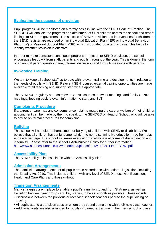# **Evaluating the success of provision**

Pupil progress will be monitored on a termly basis in line with the SEND Code of Practice. The SENDCO will analyse the progress and attainment of SEN children across the school and report findings to SLT and governors. The success of SEND provision and interventions for children on the SEND register are recorded on an individual Education Plan (IEP) or Individual Behaviour Plan (IBP) or Pastoral Support Plan (PSP), which is updated on a termly basis. This helps to identify whether provision is effective.

In order to make consistent continuous progress in relation to SEND provision, the school encourages feedback from staff, parents and pupils throughout the year. This is done in the form of an annual parent questionnaire, informal discussion and through meetings with parents.

## **In-Service Training**

We aim to keep all school staff up to date with relevant training and developments in relation to the needs of pupils with SEND. Relevant SEN focused external training opportunities are made available to all teaching and support staff where appropriate.

The SENDCO regularly attends relevant SEND courses, network meetings and family SEND meetings, feeding back relevant information to staff, and SLT.

#### **Complaints Procedure**

If a parent or carer has any concerns or complaints regarding the care or welfare of their child, an appointment can be made by them to speak to the SENDCO or Head of School, who will be able to advise on formal procedures for complaint.

#### **Bullying**

This school will not tolerate harassment or bullying of children with SEND or disabilities. We believe that all children have a fundamental right to non-discriminative education, free from bias and disadvantage. The school will make every effort to eliminate all forms of discrimination and inequality. Please refer to the school's Anti-Bullying Policy for further information; http://www.stannessutton.co.uk/wp-content/uploads/2012/11/ANTI-BULLYING.pdf

#### **Accessibility Plan**

The SEND policy is in association with the Accessibility Plan.

#### **Admission Arrangements**

The admission arrangements for all pupils are in accordance with national legislation, including the Equality Act 2010. This includes children with any level of SEND; those with Education, Health and Care Plans and those without.

#### **Transition Arrangements**

Many strategies are in place to enable a pupil's transition to and from St Anne's, as well as transition between year groups and key stages, to be as smooth as possible. These include:

- Discussions between the previous or receiving schools/teachers prior to the pupil joining or leaving.
- All pupils attend a transition session where they spend some time with their new class teacher.
- Additional visits are also arranged for pupils who need extra time in their new school or class.